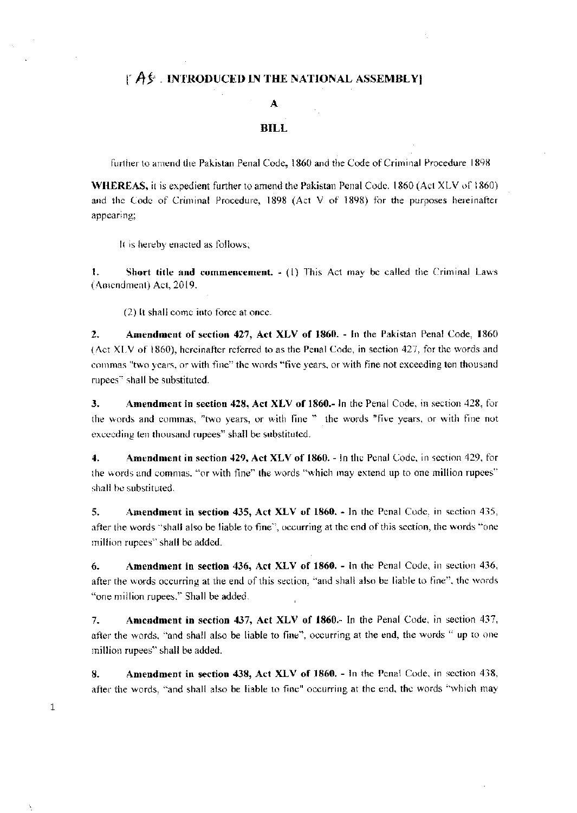### $\upharpoonright A$ & INTRODUCED IN THE NATIONAL ASSEMBLY

#### A

#### **BILL**

further to amend the Pakistan Penal Code, 1860 and the Code of Criminal Procedure 1898

WHEREAS, it is expedient further to amend the Pakistan Penal Code. 1860 (Act XLV of 1860) and the Code of Criminal Procedure, 1898 (Act V of 1898) for the purposes hereinafter appearing;

It is hereby enacted as follows;

 $\mathbf{1}$ . Short title and commencement.  $- (1)$  This Act may be called the Criminal Laws (Amendment) Act, 2019.

(2) It shall come into force at once.

 $2.$ Amendment of section 427, Act XLV of 1860. - In the Pakistan Penal Code, 1860 (Act XLV of 1860), hereinafter referred to as the Penal Code, in section 427, for the words and commas "two years, or with fine" the words "five years, or with fine not exceeding ten thousand rupees" shall be substituted.

Amendment in section 428, Act XLV of 1860.- In the Penal Code, in section 428, for  $\mathbf{3}$ . the words and commas, "two years, or with fine " the words "five years, or with fine not exceeding ten thousand rupees" shall be substituted.

 $\ddot{ }$ Amendment in section 429, Act XLV of 1860. - In the Penal Code, in section 429, for the words and commas, "or with fine" the words "which may extend up to one million rupees" shall be substituted.

5. Amendment in section 435, Act XLV of 1860. - In the Penal Code, in section 435, after the words "shall also be liable to fine", occurring at the end of this section, the words "one million rupees" shall be added.

Amendment in section 436, Act XLV of 1860. - In the Penal Code, in section 436, 6. after the words occurring at the end of this section, "and shall also be liable to fine", the words "one million rupees," Shall be added.

Amendment in section 437, Act XLV of 1860. In the Penal Code, in section 437,  $7.$ after the words, "and shall also be liable to fine", occurring at the end, the words " up to one million rupees" shall be added.

Amendment in section 438, Act XLV of 1860. - In the Penal Code, in section 438, 8. after the words, "and shall also be liable to fine" occurring at the end, the words "which may

 $\mathbf{1}$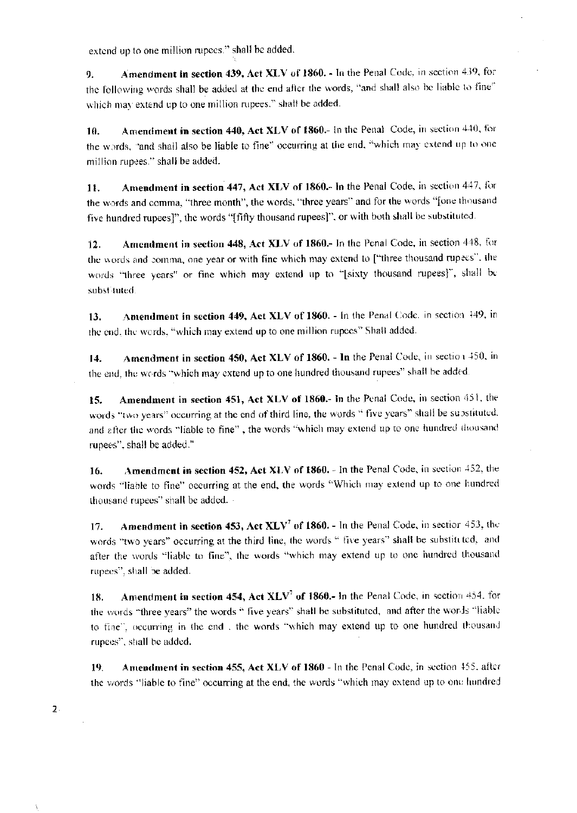extend up to one million rupees." shall be added.

Amendment in section 439, Act XLV of 1860. - In the Penal Code, in section 439, for 9. the following words shall be added at the end after the words, "and shall also be liable to fine" which may extend up to one million rupees." shall be added.

Amendment in section 440, Act XLV of 1860.- In the Penal Code, in section 440, for 10. the words, "and shall also be liable to fine" occurring at the end, "which may extend up to one million rupees." shall be added.

Amendment in section 447, Act XLV of 1860.- In the Penal Code, in section 447, for 11. the words and comma, "three month", the words, "three years" and for the words "[one thousand five hundred rupees]", the words "[fifty thousand rupees]", or with both shall be substituted.

Amendment in section 448, Act XLV of 1860.- In the Penal Code, in section 448, for  $12.$ the words and comma, one year or with fine which may extend to ["three thousand rupees", the words "three years" or fine which may extend up to "[sixty thousand rupees]", shall be subst tuted.

Amendment in section 449, Act XLV of 1860. - In the Penal Code, in section 449, in  $13.$ the end, the words, "which may extend up to one million rupees" Shall added.

Amendment in section 450, Act XLV of 1860. - In the Penal Code, in section 450, in 14. the end, the words "which may extend up to one hundred thousand rupees" shall be added.

Amendment in section 451, Act XLV of 1860.- In the Penal Code, in section 451, the 15. words "two years" occurring at the end of third line, the words " five years" shall be substituted. and after the words "liable to fine", the words "which may extend up to one hundred thousand rupees", shall be added."

**Amendment in section 452, Act XLV of 1860.** - In the Penal Code, in section 452, the 16. words "liable to fine" occurring at the end, the words "Which may extend up to one hundred thousand rupees" shall be added.

Amendment in section 453, Act  $XLV^7$  of 1860. - In the Penal Code, in sectior 453, the 17. words "two years" occurring at the third line, the words " five years" shall be substituted, and after the words "liable to fine", the words "which may extend up to one hundred thousand rupees", shall be added.

**Amendment in section 454, Act XLV<sup>7</sup> of 1860.- In the Penal Code, in section 454, for** 18. the words "three years" the words " five years" shall be substituted, and after the words "liable to fine", occurring in the end, the words "which may extend up to one hundred thousand rupees", shall be added.

Amendment in section 455, Act XLV of 1860 - In the Penal Code, in section 455, after 19. the words "liable to fine" occurring at the end, the words "which may extend up to one hundred

 $2.$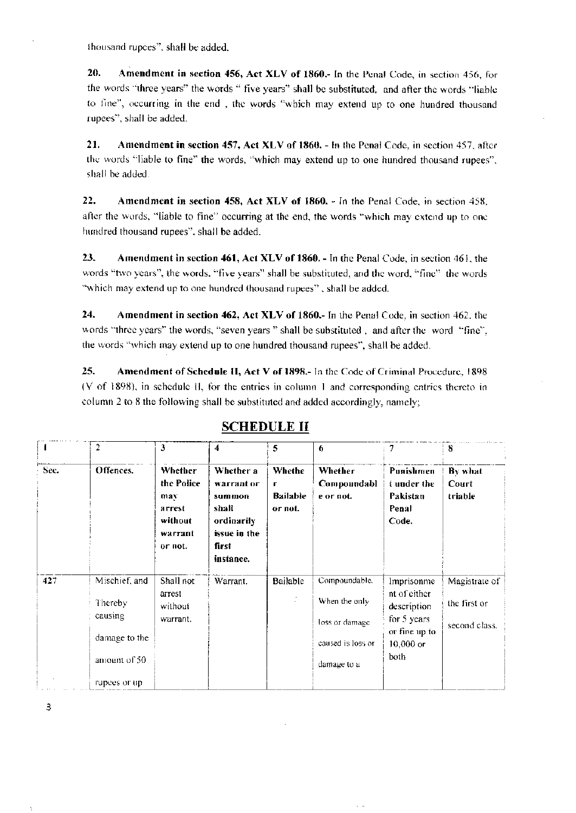thousand rupees", shall be added.

20. Amendment in section 456, Act XLV of 1860.- In the Penal Code, in section 456, for the words "three years" the words " five years" shall be substituted, and after the words "liable to fine", occurring in the end, the words "which may extend up to one hundred thousand rupees", shall be added.

21. Amendment in section 457, Act XLV of 1860. - In the Penal Code, in section 457, after the words "liable to fine" the words, "which may extend up to one hundred thousand rupees", shall be added.

22. Amendment in section 458, Act XLV of 1860. - In the Penal Code, in section 458, after the words, "liable to fine" occurring at the end, the words "which may extend up to one hundred thousand rupees", shall be added.

23. Amendment in section 461, Act XLV of 1860. - In the Penal Code, in section 461, the words "two years", the words, "five years" shall be substituted, and the word, "fine" the words "which may extend up to one hundred thousand rupees", shall be added.

24. Amendment in section 462, Act XLV of 1860.- In the Penal Code, in section 462, the words "three years" the words, "seven years" shall be substituted, and after the word "fine", the words "which may extend up to one hundred thousand rupees", shall be added.

25. Amendment of Schedule II, Act V of 1898.- In the Code of Criminal Procedure, 1898 (V of 1898), in schedule II, for the entries in column 1 and corresponding entries thereto in column 2 to 8 the following shall be substituted and added accordingly, namely;

|      | $\mathbf{2}$  | 3                                                                       | 4                                                                                              | 5                                         | 6                                   | 7                                                      | 8                           |
|------|---------------|-------------------------------------------------------------------------|------------------------------------------------------------------------------------------------|-------------------------------------------|-------------------------------------|--------------------------------------------------------|-----------------------------|
| Sec. | Offences.     | Whether<br>the Police<br>max<br>arrest<br>without<br>warrant<br>or not. | Whether a<br>warrant or<br>summon<br>shall<br>ordinarily<br>issue in the<br>first<br>instance. | Whethe<br>r<br><b>Bailable</b><br>or not. | Whether<br>Compoundabl<br>e or not. | Punishmen<br>t under the<br>Pakistan<br>Penal<br>Code. | By what<br>Court<br>triable |
| 427  | Mischief, and | Shall not                                                               | Warrant.                                                                                       | Bailable                                  | Compoundable,                       | Imprisonme                                             | Magistrate of               |
|      | Thereby       | arrest<br>without                                                       |                                                                                                |                                           | When the only                       | nt of either<br>description                            | the first or                |
|      | causing       | warrant.                                                                |                                                                                                |                                           | loss or damage                      | for 5 years<br>or fine up to                           | second class.               |
|      | damage to the |                                                                         |                                                                                                |                                           | caused is loss or                   | $10,000$ or                                            |                             |
|      | amount of 50  |                                                                         |                                                                                                |                                           | damage to a                         | both                                                   |                             |
|      | rupees or up. |                                                                         |                                                                                                |                                           |                                     |                                                        |                             |

# **SCHEDULE II**

 $\overline{3}$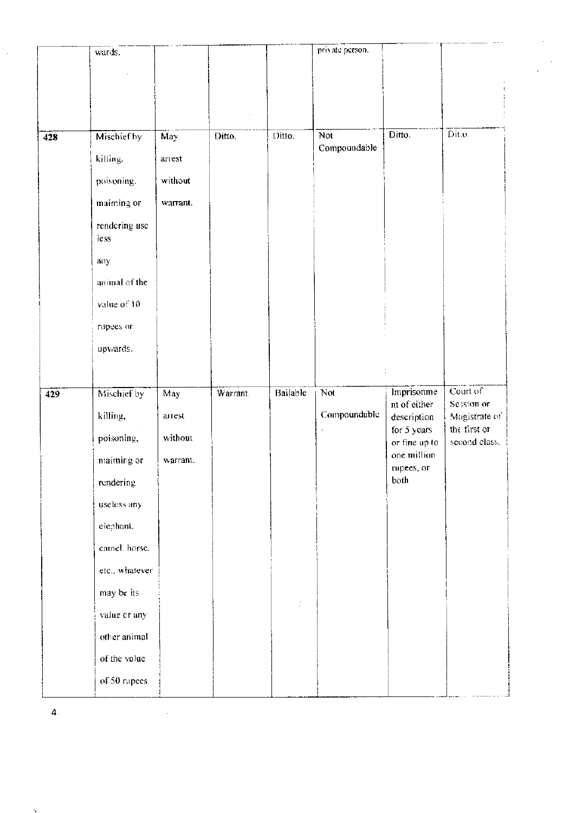|     | wards.                       |          |          |          | private person. |                            |                               |
|-----|------------------------------|----------|----------|----------|-----------------|----------------------------|-------------------------------|
|     |                              |          |          |          |                 |                            |                               |
|     |                              |          |          |          |                 |                            |                               |
|     |                              |          |          |          |                 |                            |                               |
|     | Mischief by                  | May      | Ditto.   | Ditto.   | Not             | Ditto.                     | Dit.o.                        |
| 428 |                              |          |          |          | Compoundable    |                            |                               |
|     | killing.                     | arrest   |          |          |                 |                            |                               |
|     | poisoning.                   | without  |          |          |                 |                            |                               |
|     | maiming or                   | warrant. |          |          |                 |                            |                               |
|     | rendering use<br>less        |          |          |          |                 |                            |                               |
|     | any                          |          |          |          |                 |                            |                               |
|     | animal of the                |          |          |          |                 |                            |                               |
|     | value of 10                  |          |          |          |                 |                            |                               |
|     | rupees or                    |          |          |          |                 |                            |                               |
|     | upwards.                     |          |          |          |                 |                            |                               |
|     |                              |          |          |          |                 |                            |                               |
| 429 | Mischief by                  | May      | Warrant. | Bailable | Not             | Imprisonme                 | Court of                      |
|     |                              |          |          |          |                 | nt of either               | Session or                    |
|     | killing,                     | arrest   |          |          | Compoundable    | description<br>for 5 years | Magistrate of<br>the first or |
|     | poisoning,                   | without  |          |          |                 | or fine up to              | second class.                 |
|     | maiming or                   | warrant. |          |          |                 | one million<br>rupees, or  |                               |
|     | rendering                    |          |          |          |                 | both                       |                               |
|     | useless any                  |          |          |          |                 |                            |                               |
|     | elephant,                    |          |          |          |                 |                            |                               |
|     | carnel, horse.               |          |          |          |                 |                            |                               |
|     | etc., whatever               |          |          |          |                 |                            |                               |
|     | may be its.                  |          |          |          |                 |                            |                               |
|     | value or any                 |          |          |          |                 |                            |                               |
|     | other animal                 |          |          |          |                 |                            |                               |
|     |                              |          |          |          |                 |                            |                               |
|     |                              |          |          |          |                 |                            |                               |
|     | of the value<br>of 50 rapees |          |          |          |                 |                            |                               |

 $\sim$ 

 $\overline{4}$ .

 $\label{eq:2.1} \frac{1}{\sqrt{2}}\int_{\mathbb{R}^3}\frac{1}{\sqrt{2}}\left(\frac{1}{\sqrt{2}}\right)^2\frac{1}{\sqrt{2}}\left(\frac{1}{\sqrt{2}}\right)^2\frac{1}{\sqrt{2}}\left(\frac{1}{\sqrt{2}}\right)^2\frac{1}{\sqrt{2}}\left(\frac{1}{\sqrt{2}}\right)^2.$ 

 $\hat{\mathcal{L}}$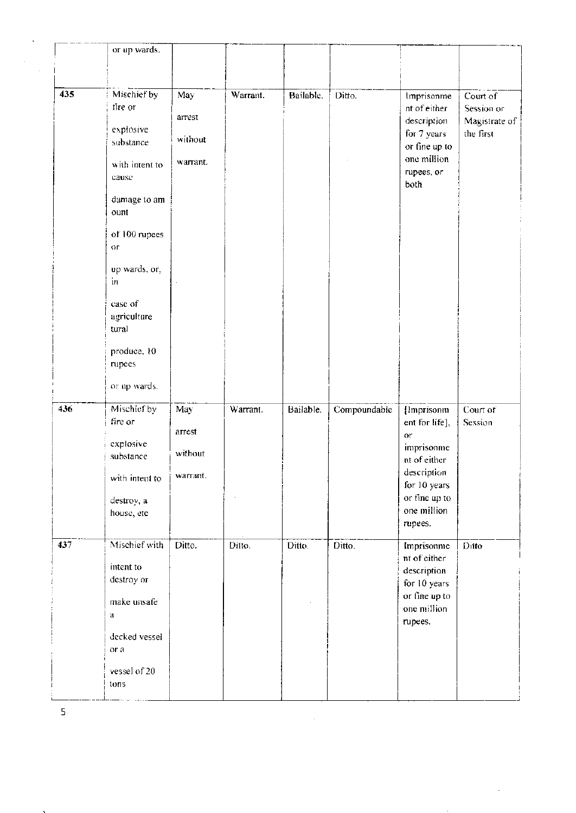|                      | or up wards.   |          |          |           |              |                               |               |
|----------------------|----------------|----------|----------|-----------|--------------|-------------------------------|---------------|
|                      |                |          |          |           |              |                               |               |
|                      |                |          |          |           |              |                               |               |
| 435                  | Mischief by    | May      | Warrant. | Bailable. | Ditto.       | Imprisonme                    | Court of      |
|                      | fire or        |          |          |           |              | nt of either                  | Session or    |
|                      |                | arrest   |          |           |              | description                   | Magistrate of |
|                      | explosive      | without  |          |           |              | for 7 years                   | the first     |
|                      | substance      |          |          |           |              | or fine up to                 |               |
|                      | with intent to | warrant. |          |           |              | one million                   |               |
|                      | cause          |          |          |           |              | rupees, or                    |               |
|                      |                |          |          |           |              | both                          |               |
|                      | damage to am   |          |          |           |              |                               |               |
|                      | ount           |          |          |           |              |                               |               |
|                      | of 100 rupees  |          |          |           |              |                               |               |
|                      | OГ             |          |          |           |              |                               |               |
|                      |                |          |          |           |              |                               |               |
|                      | up wards, or,  |          |          |           |              |                               |               |
|                      | in             |          |          |           |              |                               |               |
|                      | case of        |          |          |           |              |                               |               |
|                      | agriculture    |          |          |           |              |                               |               |
| tural<br>produce, 10 |                |          |          |           |              |                               |               |
|                      |                |          |          |           |              |                               |               |
|                      | rupees         |          |          |           |              |                               |               |
|                      |                |          |          |           |              |                               |               |
|                      | or up wards.   |          |          |           |              |                               |               |
| 436                  | Mischief by    | May      | Warrant. | Bailable. | Compoundable | {Imprisonm                    | Court of      |
|                      | fire or        |          |          |           |              | ent for life],                | Session       |
|                      |                | arrest   |          |           |              | $0^\circ$                     |               |
|                      | explosive      | without  |          |           |              | imprisonme                    |               |
|                      | substance      |          |          |           |              | nt of either                  |               |
|                      | with intent to | warrant. |          |           |              | description                   |               |
|                      |                |          |          |           |              | for 10 years                  |               |
|                      | destroy, a     |          |          |           |              | or fine up to<br>one million  |               |
|                      | house, etc     |          |          |           |              | rupees.                       |               |
|                      |                |          |          |           |              |                               |               |
| 437                  | Mischief with  | Ditto.   | Ditto.   | Ditto.    | Ditto.       | Imprisonme                    | Ditto         |
|                      | intent to      |          |          |           |              | nt of either                  |               |
|                      | destroy or     |          |          |           |              | description                   |               |
|                      |                |          |          |           |              | for 10 years<br>or fine up to |               |
|                      | make unsafe    |          |          |           |              | one million                   |               |
|                      | đ              |          |          |           |              | rupees.                       |               |
|                      | decked vessel  |          |          |           |              |                               |               |
|                      | or a           |          |          |           |              |                               |               |
|                      |                |          |          |           |              |                               |               |
|                      | vessel of 20   |          |          |           |              |                               |               |
|                      | tons           |          |          |           |              |                               |               |
|                      |                |          |          |           |              |                               |               |

 $\frac{1}{2}$ 

 $\bar{\mathbf{5}}$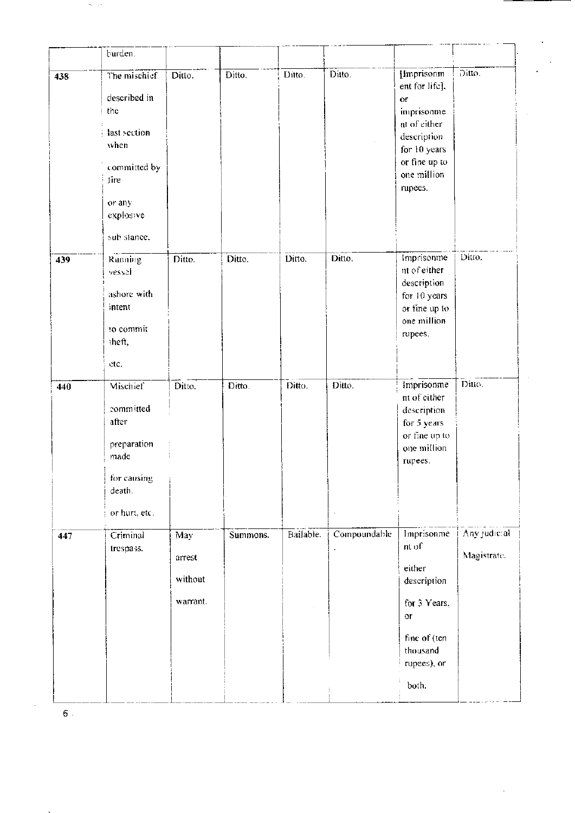| burden.                                                                                         |                                      |          |           |                   |                                                                                                                        |                             |
|-------------------------------------------------------------------------------------------------|--------------------------------------|----------|-----------|-------------------|------------------------------------------------------------------------------------------------------------------------|-----------------------------|
| The mischief<br>described in<br>the<br>last section<br>when                                     | Ditto.                               | Ditto.   | Ditto.    | Ditto.            | {Imprisonm<br>ent for life],<br>or.<br>imprisonme<br>nt of either<br>description<br>for 10 years                       | $\overline{O}$ itto.        |
| committed by<br>tire<br>or any<br>explosive<br>sub stance.                                      |                                      |          |           |                   | one million<br>rupees.                                                                                                 |                             |
| Running<br>vessel<br>ashore with<br>intent<br>to commit<br>theft,<br>etc.                       | Ditto.                               | Ditto.   | Ditto.    | Ditto.            | Imprisonme<br>nt of either<br>description<br>for 10 years<br>or fine up to<br>one million<br>rupees.                   | Ditto.                      |
| Mischief<br>committed<br>after<br>preparation<br>made<br>for causing<br>death.<br>or hurt, etc. | Ditto.                               | Ditto.   | Ditto.    | Ditto.<br>$\cdot$ | Imprisonme<br>nt of either<br>description<br>for 5 years<br>or fine up to<br>one million<br>rupees.                    | Ditto.                      |
| Criminal<br>trespass.                                                                           | May<br>arrest<br>without<br>warrant. | Summons. | Bailable. | Compoundable      | Imprisonme<br>nt of<br>either<br>description<br>for 3 Years,<br>or<br>fine of (ten<br>thousand<br>rupees), or<br>both. | Any judicial<br>Magistrate. |
|                                                                                                 |                                      |          |           |                   |                                                                                                                        | or fine up to               |

 $\bar{\mathfrak{s}}$  .

 $\sigma_{\rm c}$  (se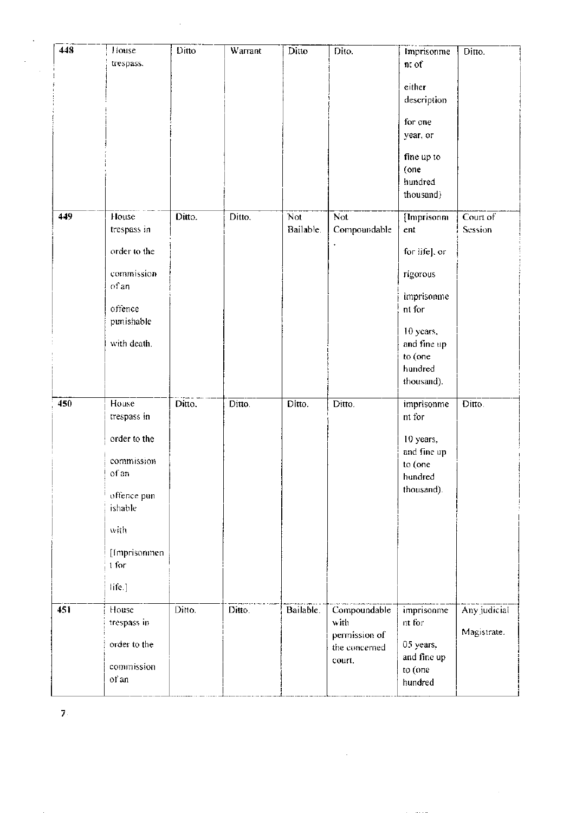| 448 | House<br>trespass.     | Ditto  | Warrant | Ditto            | Dite.                 | Imprisonme<br>nt of    | Ditto.       |
|-----|------------------------|--------|---------|------------------|-----------------------|------------------------|--------------|
|     |                        |        |         |                  |                       | either                 |              |
|     |                        |        |         |                  |                       | description            |              |
|     |                        |        |         |                  |                       | for one                |              |
|     |                        |        |         |                  |                       | year, or               |              |
|     |                        |        |         |                  |                       | fine up to<br>(one     |              |
|     |                        |        |         |                  |                       | hundred<br>thousand)   |              |
| 449 | House                  | Ditto. | Ditto.  | Not <sup>1</sup> | Not                   | [Imprisonm]            | Court of     |
|     | trespass in            |        |         | Bailable.        | Compoundable          | ent                    | Session      |
|     | order to the           |        |         |                  |                       | for life], or          |              |
|     | commission             |        |         |                  |                       | rigorous               |              |
|     | of an                  |        |         |                  |                       | imprisonme             |              |
|     | offence<br>punishable  |        |         |                  |                       | nt for                 |              |
|     |                        |        |         |                  |                       | 10 years,              |              |
|     | with death.            |        |         |                  |                       | and fine up<br>to (one |              |
|     |                        |        |         |                  |                       | hundred<br>thousand).  |              |
| 450 | House                  | Ditto. | Ditto.  | Ditto.           | Ditto.                | imprisonme             | Ditto.       |
|     | trespass in            |        |         |                  |                       | nt for                 |              |
|     | order to the           |        |         |                  |                       | 10 years,              |              |
|     | commission             |        |         |                  |                       | and fine up<br>to (one |              |
|     | of an                  |        |         |                  |                       | hundred                |              |
|     | offence pun<br>ishable |        |         |                  |                       | thousand).             |              |
|     |                        |        |         |                  |                       |                        |              |
|     | with                   |        |         |                  |                       |                        |              |
|     | [Imprisonmen]<br>1 for |        |         |                  |                       |                        |              |
|     | life.]                 |        |         |                  |                       |                        |              |
| 451 | House                  | Ditto. | Ditto.  | Bailable.        | Compoundable          | imprisonme             | Any judicial |
|     | trespass in            |        |         |                  | with<br>permission of | nt for                 | Magistrate.  |
|     | order to the           |        |         |                  | the concerned         | 05 years,              |              |
|     | commission             |        |         |                  | court.                | and fine up<br>to (one |              |
|     | of an                  |        |         |                  |                       | hundred                |              |

 $\mathcal{L}^{\text{max}}_{\text{max}}$  , where  $\mathcal{L}^{\text{max}}_{\text{max}}$ 

 $\hat{A}$ 

 $\sim$   $\sim$ 

 $\mathbf{Z}^{\mathbb{Z}}$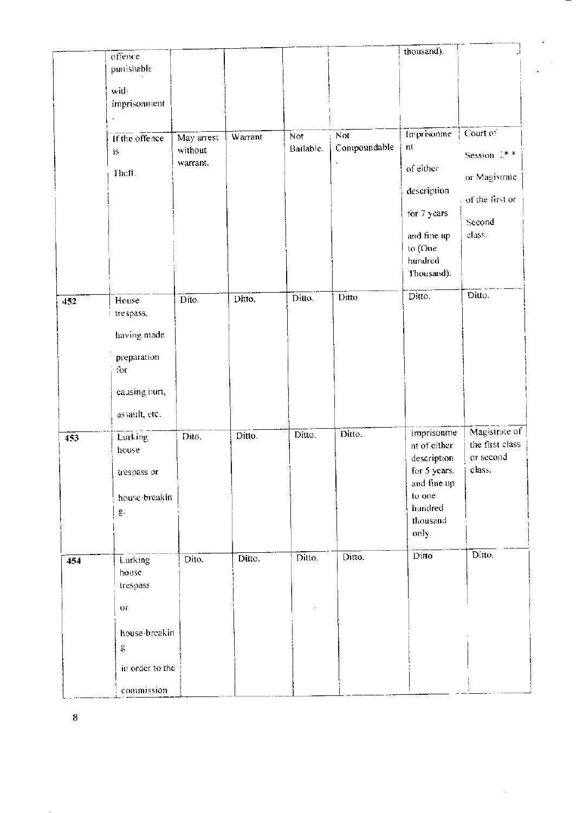|     | offence                   |                     |         |           |                         | thousand).                  |                  |  |
|-----|---------------------------|---------------------|---------|-----------|-------------------------|-----------------------------|------------------|--|
|     | punishable                |                     |         |           |                         |                             |                  |  |
|     | with                      |                     |         |           |                         |                             |                  |  |
|     | imprisonment              |                     |         |           |                         |                             |                  |  |
|     |                           |                     |         |           |                         |                             |                  |  |
|     | If the offence            | May arrest          | Warrant | Not       | $\overline{\text{Not}}$ | Imprisonme                  | Court of         |  |
|     | is                        | without<br>warrant. |         | Bailable. | Compoundable            | nt                          | Session. $2^*$ * |  |
|     | Theft.                    |                     |         |           |                         | of either                   | or Magistrate    |  |
|     |                           |                     |         |           |                         | description                 |                  |  |
|     |                           |                     |         |           |                         | for 7 years                 | of the first or  |  |
|     |                           |                     |         |           |                         |                             | Second           |  |
|     |                           |                     |         |           |                         | and fine up                 | class.           |  |
|     |                           |                     |         |           |                         | to (One<br>hundred          |                  |  |
|     |                           |                     |         |           |                         | Thousand).                  |                  |  |
|     |                           |                     |         |           | Ditto.                  | Ditto.                      | Ditto.           |  |
| 452 | House<br>trespass,        | Dito.               | Ditto.  | Ditto.    |                         |                             |                  |  |
|     |                           |                     |         |           |                         |                             |                  |  |
|     | having made               |                     |         |           |                         |                             |                  |  |
|     | preparation               |                     |         |           |                         |                             |                  |  |
|     | for                       |                     |         |           |                         |                             |                  |  |
|     | causing hurt,             |                     |         |           |                         |                             |                  |  |
|     | assault, etc.             |                     |         |           |                         |                             |                  |  |
|     |                           |                     |         |           | Ditto.                  | Imprisonme                  | Magistrate of    |  |
| 453 | Lurking<br>house          | Dito.               | Ditto.  | Ditto.    |                         | nt of either                | the first class  |  |
|     |                           |                     |         |           |                         | description                 | or second        |  |
|     | trespass or               |                     |         |           |                         | for 5 years.<br>and fine up | class.           |  |
|     | house-breakin             |                     |         |           |                         | to one                      |                  |  |
|     | $\underline{\mathbf{e}}.$ |                     |         |           |                         | hundred                     |                  |  |
|     |                           |                     |         |           |                         | thousand<br>only.           |                  |  |
|     |                           |                     |         |           |                         |                             |                  |  |
| 454 | Lurking                   | Dito.               | Ditto.  | Ditto.    | Ditto.                  | Ditto                       | Ditto.           |  |
|     | house                     |                     |         |           |                         |                             |                  |  |
|     | trespass                  |                     |         |           |                         |                             |                  |  |
|     | $0\,$                     |                     |         |           |                         |                             |                  |  |
|     | house-breakin             |                     |         |           |                         |                             |                  |  |
|     | g                         |                     |         |           |                         |                             |                  |  |
|     | in order to the           |                     |         |           |                         |                             |                  |  |
|     |                           |                     |         |           |                         |                             |                  |  |
|     | commission                |                     |         |           |                         |                             |                  |  |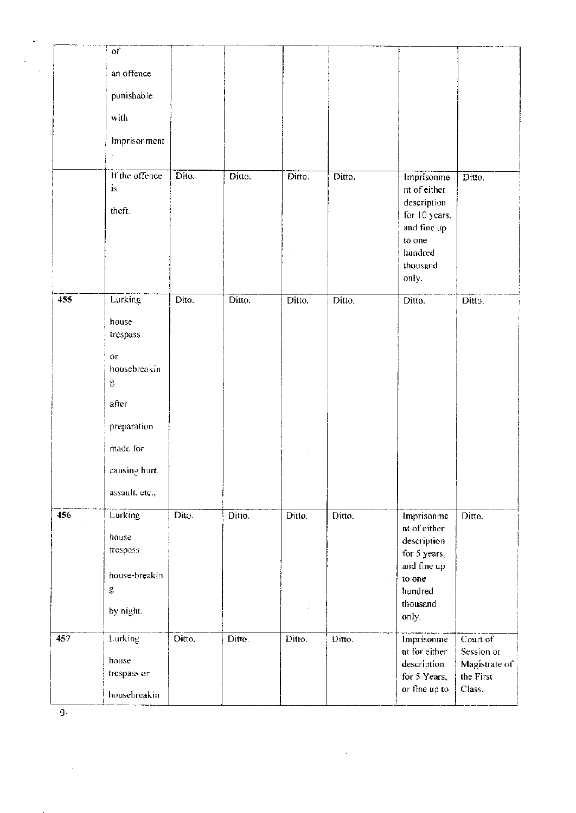|     | $\sigma$ f             |                     |        |        |        |                             |                        |
|-----|------------------------|---------------------|--------|--------|--------|-----------------------------|------------------------|
|     | an offence             |                     |        |        |        |                             |                        |
|     | punishable             |                     |        |        |        |                             |                        |
|     | with                   |                     |        |        |        |                             |                        |
|     | Imprisonment           |                     |        |        |        |                             |                        |
|     |                        |                     |        |        |        |                             |                        |
|     | If the offence         | $\overline{Dito}$ . | Ditto. | Ditto. | Ditto. | Imprisonme                  | Ditto.                 |
|     | is                     |                     |        |        |        | nt of either<br>description |                        |
|     | theft.                 |                     |        |        |        | for 10 years.               |                        |
|     |                        |                     |        |        |        | and fine up                 |                        |
|     |                        |                     |        |        |        | to one<br>hundred           |                        |
|     |                        |                     |        |        |        | thousand                    |                        |
|     |                        |                     |        |        |        | only.                       |                        |
| 455 | Lurking                | Dito.               | Ditto. | Ditto. | Ditto. | $\overline{D}$ itto.        | Ditto.                 |
|     | house                  |                     |        |        |        |                             |                        |
|     | trespass               |                     |        |        |        |                             |                        |
|     | $\overline{\text{or}}$ |                     |        |        |        |                             |                        |
|     | housebreakin           |                     |        |        |        |                             |                        |
|     | g                      |                     |        |        |        |                             |                        |
|     | after                  |                     |        |        |        |                             |                        |
|     | preparation            |                     |        |        |        |                             |                        |
|     | made for               |                     |        |        |        |                             |                        |
|     | causing hurt,          |                     |        |        |        |                             |                        |
|     | assault, etc.,         |                     |        |        |        |                             |                        |
| 456 | <b>Lurking</b>         | Dito.               | Ditto. | Ditto. | Ditto. | Imprisonme                  | D <sub>itto.</sub>     |
|     | house                  |                     |        |        |        | nt of either<br>description |                        |
|     | trespass               |                     |        |        |        | for 5 years,                |                        |
|     | house-breakin          |                     |        |        |        | and fine up<br>to one       |                        |
|     | g                      |                     |        |        |        | hundred                     |                        |
|     | by night.              |                     |        |        |        | thousand                    |                        |
|     |                        |                     |        |        |        | only.                       |                        |
| 457 | Lurking                | Ditto.              | Ditto. | Ditto. | Ditto. | Imprisonme<br>nt for either | Court of<br>Session or |
|     | house                  |                     |        |        |        | description                 | Magistrate of          |
|     | trespass or            |                     |        |        |        | for 5 Years,                | the First              |
|     | housebreakin           |                     |        |        |        | or fine up to               | Class.                 |

 $\hat{\mathcal{A}}$ 

 $\overline{g_{\cdot}}$ 

 $\ddot{\phantom{0}}$ 

 $\sim$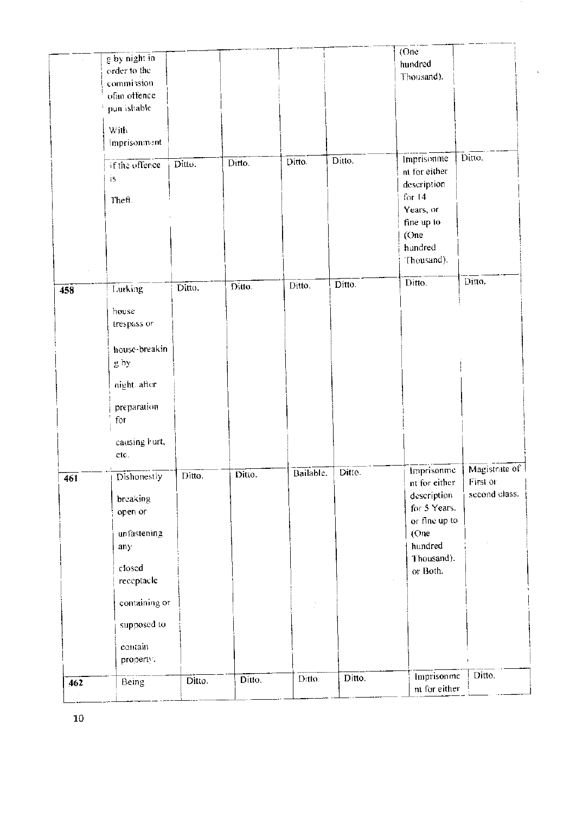| 462 | Being                      | Ditto. | Ditto. | Ditto.               | Ditto. | Imprisonme<br>nt for either | Ditto.                    |
|-----|----------------------------|--------|--------|----------------------|--------|-----------------------------|---------------------------|
|     | contain<br>property.       |        |        |                      |        |                             |                           |
|     | supposed to                |        |        |                      |        |                             |                           |
|     | containing or              |        |        |                      |        |                             |                           |
|     | receptacle                 |        |        |                      |        |                             |                           |
|     | closed                     |        |        |                      |        | Thousand).<br>or Both.      |                           |
|     | any                        |        |        |                      |        | hundred                     |                           |
|     | unfastening                |        |        |                      |        | or fine up to<br>(One       |                           |
|     | open or                    |        |        |                      |        | for 5 Years.                |                           |
|     | breaking                   |        |        |                      |        | description                 | second class.             |
| 461 | Dishonestly                | Ditto. | Ditto. | Bailable.            | Ditto. | Imprisonme<br>nt for either | Magistrate of<br>First or |
|     | causing burt,<br>etc.      |        |        |                      |        |                             |                           |
|     |                            |        |        |                      |        |                             |                           |
|     | preparation<br>for         |        |        |                      |        |                             |                           |
|     | night, after               |        |        |                      |        |                             |                           |
|     | g by                       |        |        |                      |        |                             |                           |
|     | house-breakin              |        |        |                      |        |                             |                           |
|     |                            |        |        |                      |        |                             |                           |
|     | house<br>trespass or       |        |        |                      |        |                             |                           |
| 458 | Lurking                    |        |        |                      |        |                             |                           |
|     |                            | Ditto. | Ditto. | $\overline{D}$ itto. | Ditto. | Ditto.                      | Ditto.                    |
|     |                            |        |        |                      |        | Thousand).                  |                           |
|     |                            |        |        |                      |        | (One<br>hundred             |                           |
|     |                            |        |        |                      |        | fine up to                  |                           |
|     | Theft.                     |        |        |                      |        | for $14$<br>Years, or       |                           |
|     | is                         |        |        |                      |        | description                 |                           |
|     | if the offence             | Ditto. | Ditto. | Ditto.               | Ditto. | Imprisonme<br>nt for either | Ditto.                    |
|     | imprisonment               |        |        |                      |        |                             |                           |
|     | With                       |        |        |                      |        |                             |                           |
|     | pun ishable                |        |        |                      |        |                             |                           |
|     | ofan offence               |        |        |                      |        |                             |                           |
|     | order to the<br>commission |        |        |                      |        | Thousand).                  |                           |
|     | $\frac{1}{g}$ by night in  |        |        |                      |        | (One<br>hundred             |                           |

 $\bf{10}$